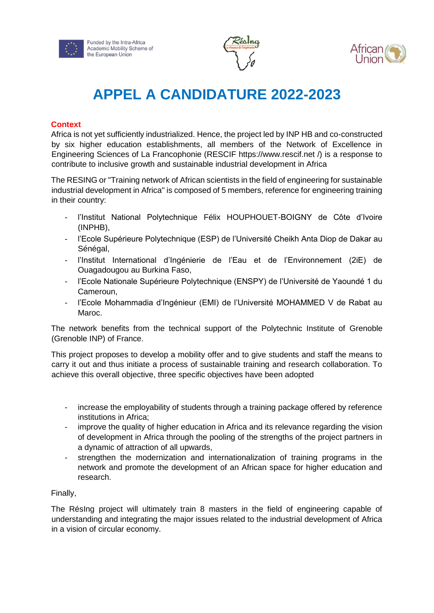





# **APPEL A CANDIDATURE 2022-2023**

## **Context**

Africa is not yet sufficiently industrialized. Hence, the project led by INP HB and co-constructed by six higher education establishments, all members of the Network of Excellence in Engineering Sciences of La Francophonie (RESCIF https://www.rescif.net /) is a response to contribute to inclusive growth and sustainable industrial development in Africa

The RESING or "Training network of African scientists in the field of engineering for sustainable industrial development in Africa" is composed of 5 members, reference for engineering training in their country:

- l'Institut National Polytechnique Félix HOUPHOUET-BOIGNY de Côte d'Ivoire (INPHB),
- l'Ecole Supérieure Polytechnique (ESP) de l'Université Cheikh Anta Diop de Dakar au Sénégal,
- l'Institut International d'Ingénierie de l'Eau et de l'Environnement (2iE) de Ouagadougou au Burkina Faso,
- l'Ecole Nationale Supérieure Polytechnique (ENSPY) de l'Université de Yaoundé 1 du Cameroun,
- l'Ecole Mohammadia d'Ingénieur (EMI) de l'Université MOHAMMED V de Rabat au Maroc.

The network benefits from the technical support of the Polytechnic Institute of Grenoble (Grenoble INP) of France.

This project proposes to develop a mobility offer and to give students and staff the means to carry it out and thus initiate a process of sustainable training and research collaboration. To achieve this overall objective, three specific objectives have been adopted

- increase the employability of students through a training package offered by reference institutions in Africa;
- improve the quality of higher education in Africa and its relevance regarding the vision of development in Africa through the pooling of the strengths of the project partners in a dynamic of attraction of all upwards,
- strengthen the modernization and internationalization of training programs in the network and promote the development of an African space for higher education and research.

## Finally,

The RésIng project will ultimately train 8 masters in the field of engineering capable of understanding and integrating the major issues related to the industrial development of Africa in a vision of circular economy.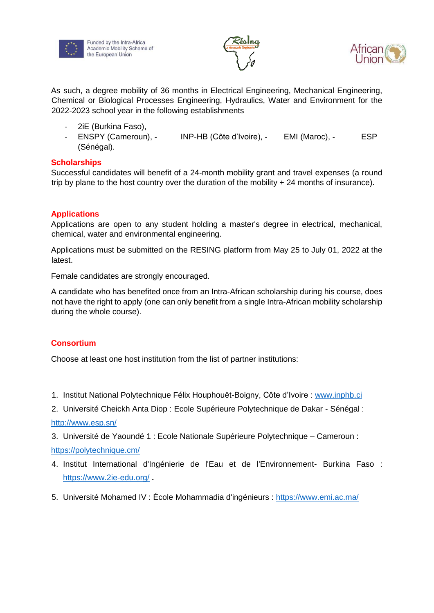

Funded by the Intra-Africa Academic Mobility Scheme of the European Union



As such, a degree mobility of 36 months in Electrical Engineering, Mechanical Engineering, Chemical or Biological Processes Engineering, Hydraulics, Water and Environment for the 2022-2023 school year in the following establishments

- 2iE (Burkina Faso),
- ENSPY (Cameroun), INP-HB (Côte d'Ivoire), EMI (Maroc), ESP (Sénégal).

## **Scholarships**

Successful candidates will benefit of a 24-month mobility grant and travel expenses (a round trip by plane to the host country over the duration of the mobility + 24 months of insurance).

# **Applications**

Applications are open to any student holding a master's degree in electrical, mechanical, chemical, water and environmental engineering.

Applications must be submitted on the RESING platform from May 25 to July 01, 2022 at the latest.

Female candidates are strongly encouraged.

A candidate who has benefited once from an Intra-African scholarship during his course, does not have the right to apply (one can only benefit from a single Intra-African mobility scholarship during the whole course).

## **Consortium**

Choose at least one host institution from the list of partner institutions:

- 1. Institut National Polytechnique Félix Houphouët-Boigny, Côte d'Ivoire : [www.inphb.ci](http://www.inphb.ci/)
- 2. Université Cheickh Anta Diop : Ecole Supérieure Polytechnique de Dakar Sénégal : <http://www.esp.sn/>
- 3. Université de Yaoundé 1 : Ecole Nationale Supérieure Polytechnique Cameroun : <https://polytechnique.cm/>
- 4. Institut International d'Ingénierie de l'Eau et de l'Environnement- Burkina Faso : <https://www.2ie-edu.org/> **.**
- 5. Université Mohamed IV : École Mohammadia d'ingénieurs :<https://www.emi.ac.ma/>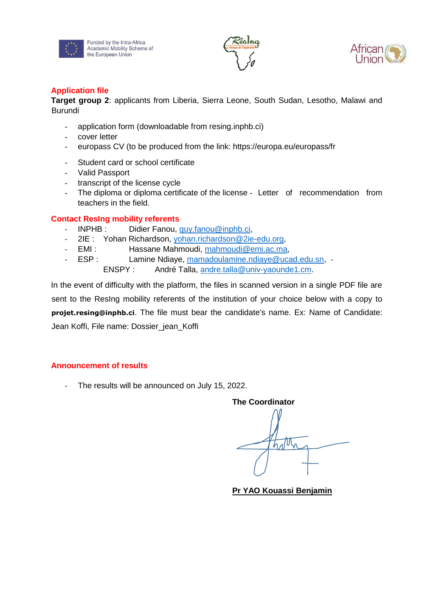

Funded by the Intra-Africa Academic Mobility Scheme of the European Union



## **Application file**

**Target group 2**: applicants from Liberia, Sierra Leone, South Sudan, Lesotho, Malawi and **Burundi** 

- application form (downloadable from resing.inphb.ci)
- cover letter
- europass CV (to be produced from the link: https://europa.eu/europass/fr
- Student card or school certificate
- Valid Passport
- transcript of the license cycle
- The diploma or diploma certificate of the license Letter of recommendation from teachers in the field.

## **Contact ResIng mobility referents**

- INPHB : Didier Fanou, guy.fanou@inphb.ci,
- 2IE : Yohan Richardson, yohan.richardson@2ie-edu.org,
- EMI : Hassane Mahmoudi, mahmoudi@emi.ac.ma,
- ESP : Lamine Ndiaye, mamadoulamine.ndiaye@ucad.edu.sn, ENSPY : André Talla, andre.talla@univ-yaounde1.cm.

In the event of difficulty with the platform, the files in scanned version in a single PDF file are sent to the ResIng mobility referents of the institution of your choice below with a copy to **projet.resing@inphb.ci**. The file must bear the candidate's name. Ex: Name of Candidate: Jean Koffi, File name: Dossier\_jean\_Koffi

# **Announcement of results**

- The results will be announced on July 15, 2022.

**The Coordinator** 

hatth

**Pr YAO Kouassi Benjamin**